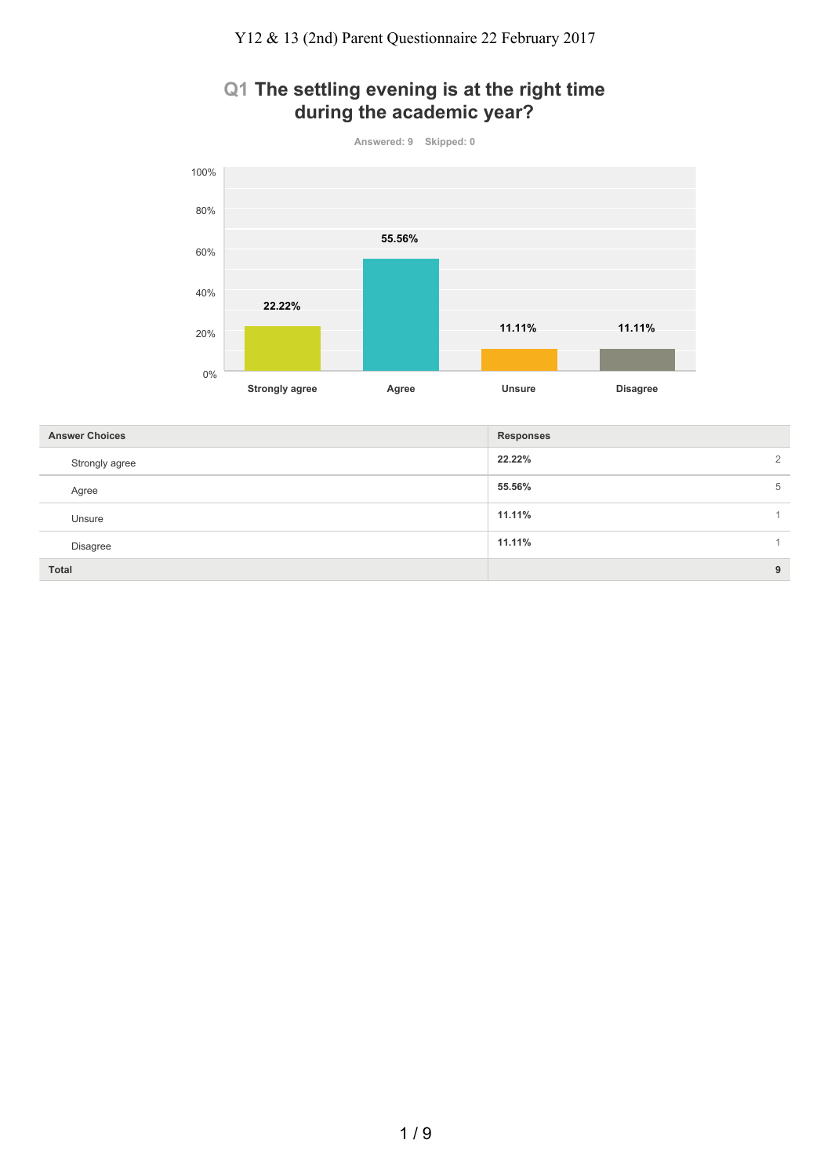# **Q1 The settling evening is at the right time during the academic year?**

**Answered: 9 Skipped: 0**



| <b>Answer Choices</b> | <b>Responses</b>   |
|-----------------------|--------------------|
| Strongly agree        | 22.22%<br>$\Omega$ |
| Agree                 | 55.56%<br>5        |
| Unsure                | 11.11%             |
| Disagree              | 11.11%             |
| Total                 | 9                  |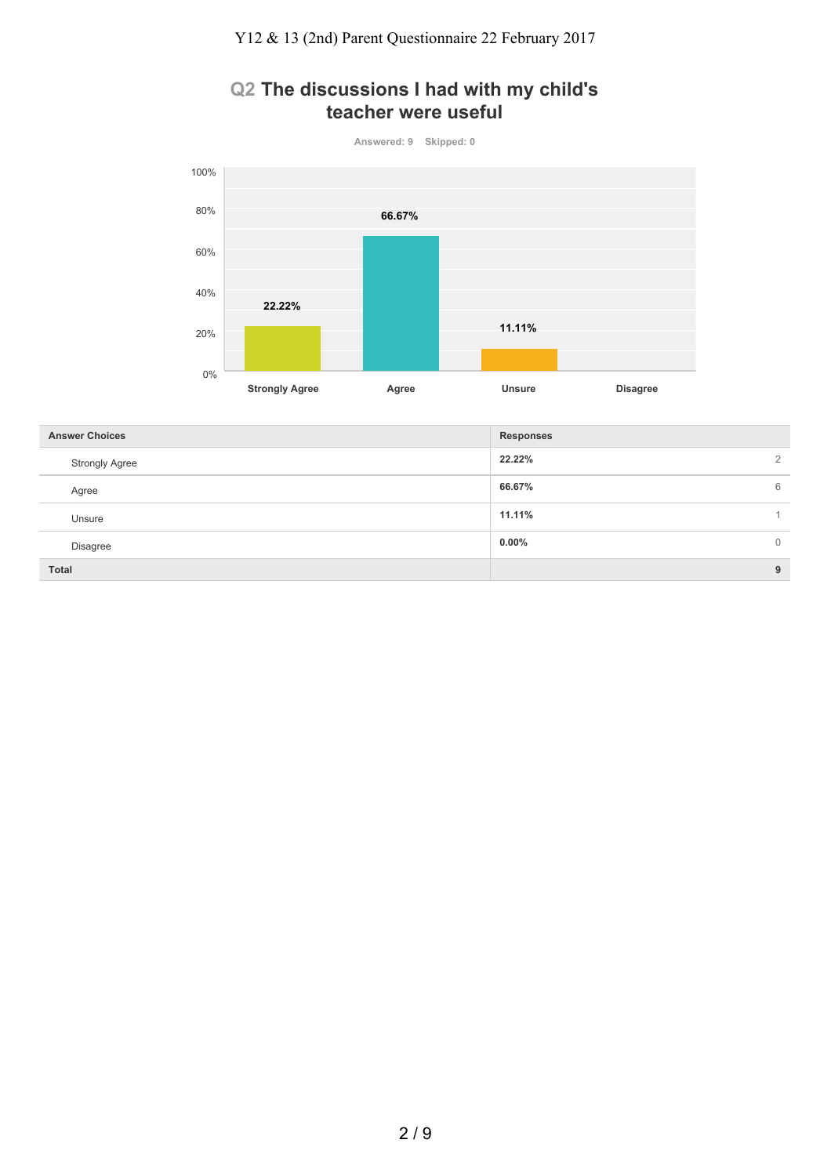# **Q2 The discussions I had with my child's teacher were useful**

**Answered: 9 Skipped: 0**



| <b>Answer Choices</b> | <b>Responses</b>     |
|-----------------------|----------------------|
| <b>Strongly Agree</b> | 22.22%<br>2          |
| Agree                 | 66.67%<br>6          |
| Unsure                | 11.11%               |
| Disagree              | $0.00\%$<br>$\Omega$ |
| Total                 | 9                    |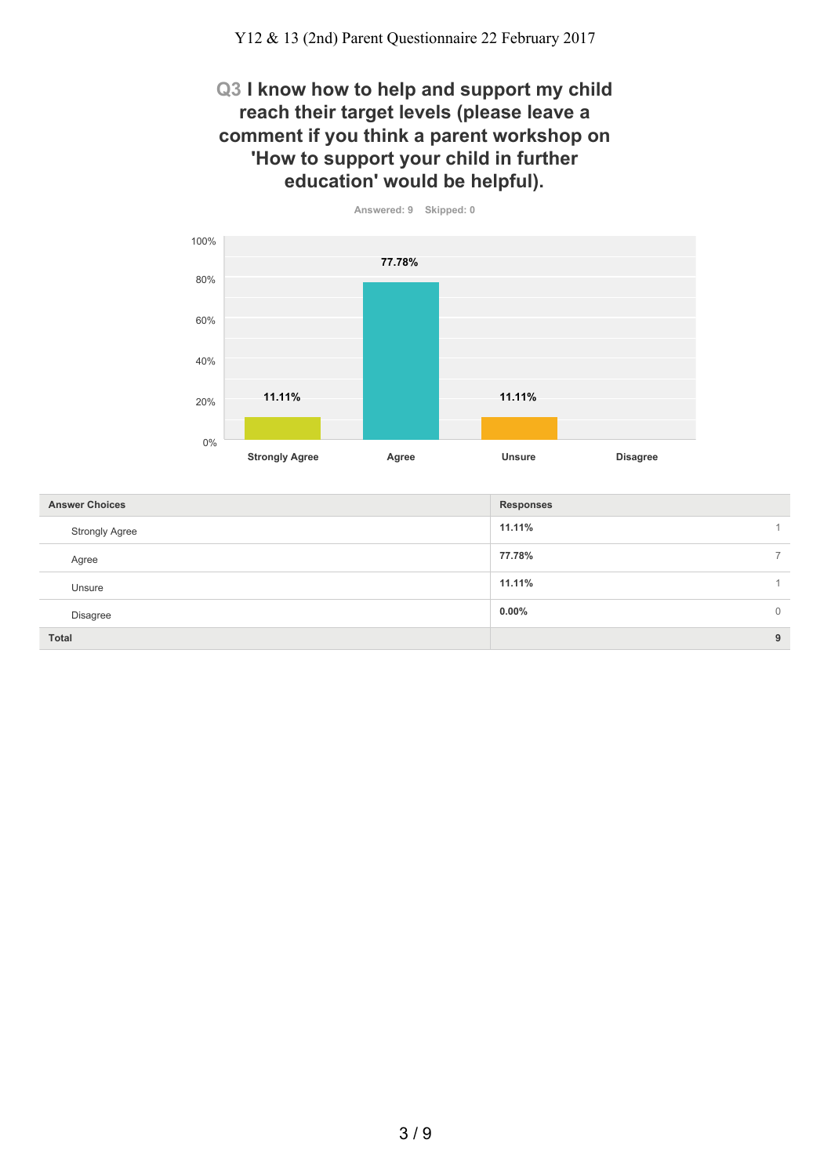#### **Q3 I know how to help and support my child reach their target levels (please leave a comment if you think a parent workshop on 'How to support your child in further education' would be helpful).**



**11.11%** 1 **77.78%** 7 **11.11%** 1 **0.00%** 0 **Total 9 Answer Choices Responses** Strongly Agree Agree Unsure Disagree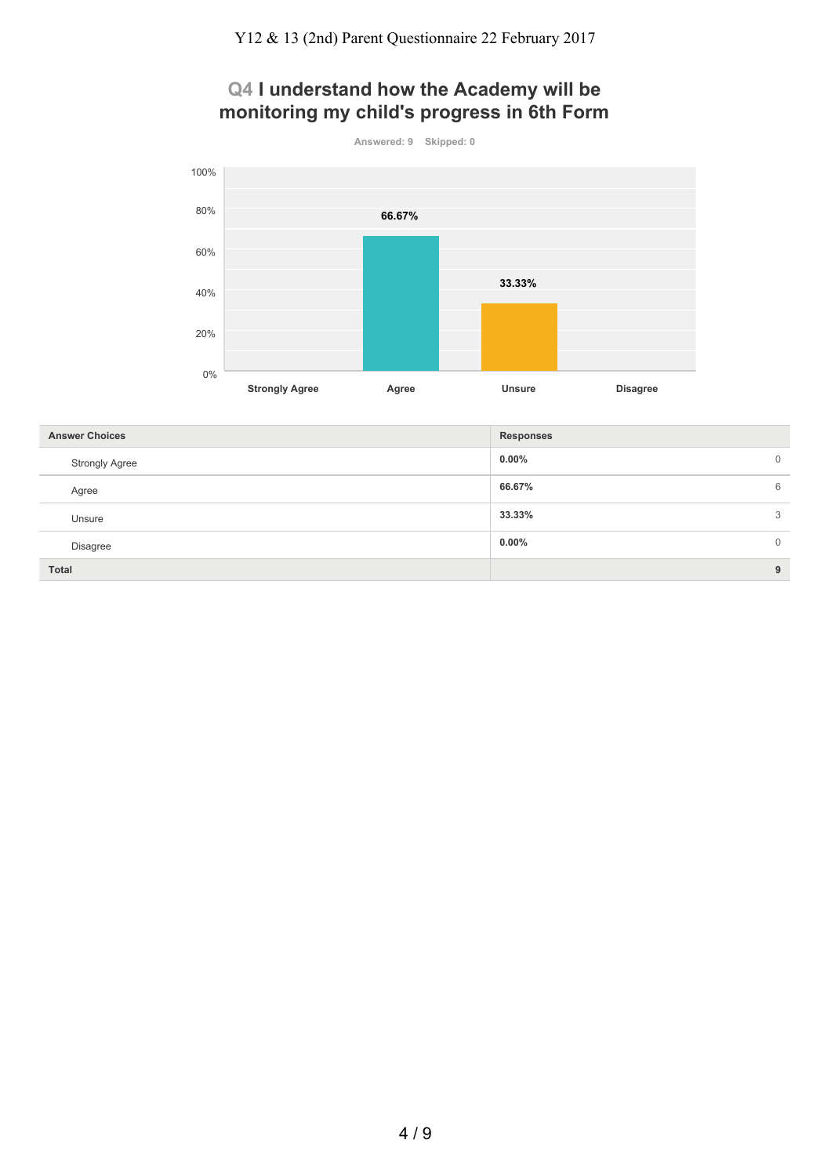# **Q4 I understand how the Academy will be monitoring my child's progress in 6th Form**

**Answered: 9 Skipped: 0 Strongly Agree Agree Unsure Disagree** 0% 20% 40% 60% 80% 100% **66.67% 33.33%**

| <b>Answer Choices</b> | <b>Responses</b>        |
|-----------------------|-------------------------|
| <b>Strongly Agree</b> | $0.00\%$<br>$\mathbf 0$ |
| Agree                 | 66.67%<br>6             |
| Unsure                | 33.33%<br>3             |
| Disagree              | 0.00%<br>$\mathbf{0}$   |
| <b>Total</b>          | 9                       |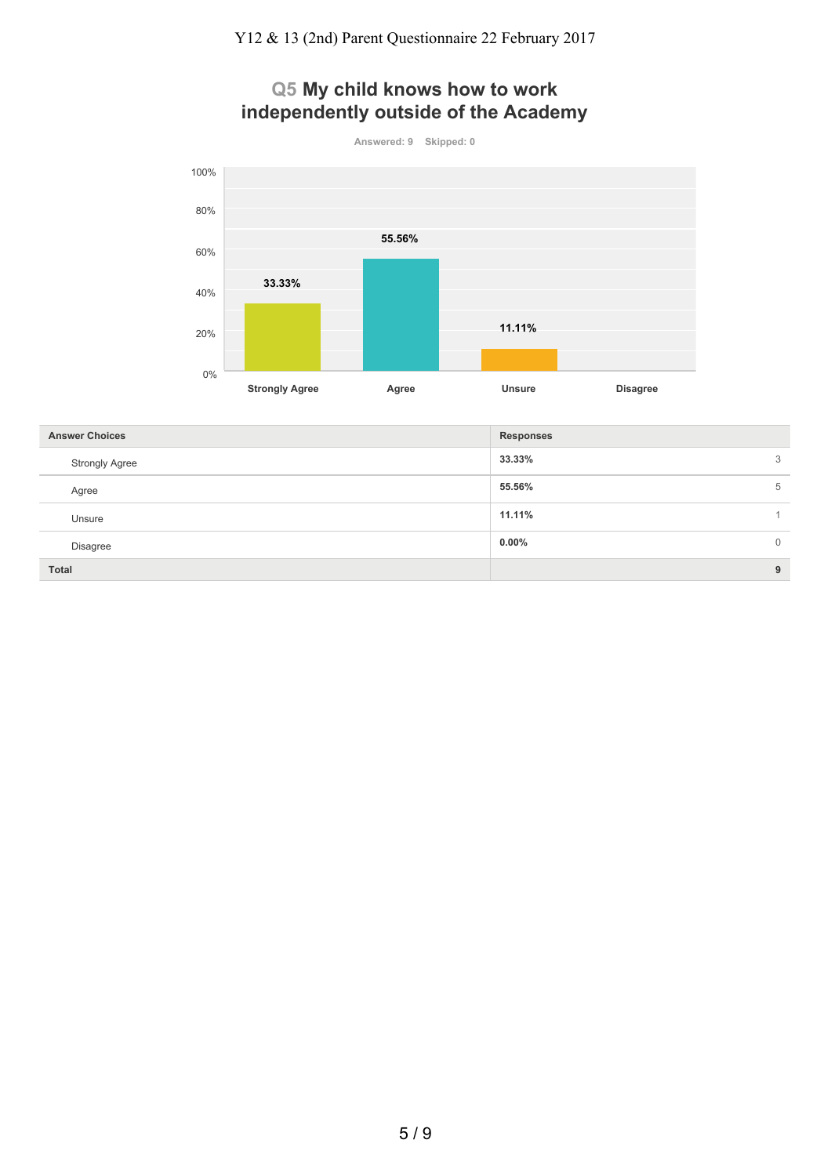# **Q5 My child knows how to work independently outside of the Academy**



| <b>Answer Choices</b> | <b>Responses</b> |             |
|-----------------------|------------------|-------------|
| <b>Strongly Agree</b> | 33.33%           | 3           |
| Agree                 | 55.56%           | 5           |
| Unsure                | 11.11%           |             |
| <b>Disagree</b>       | $0.00\%$         | $\mathbf 0$ |
| Total                 |                  | 9           |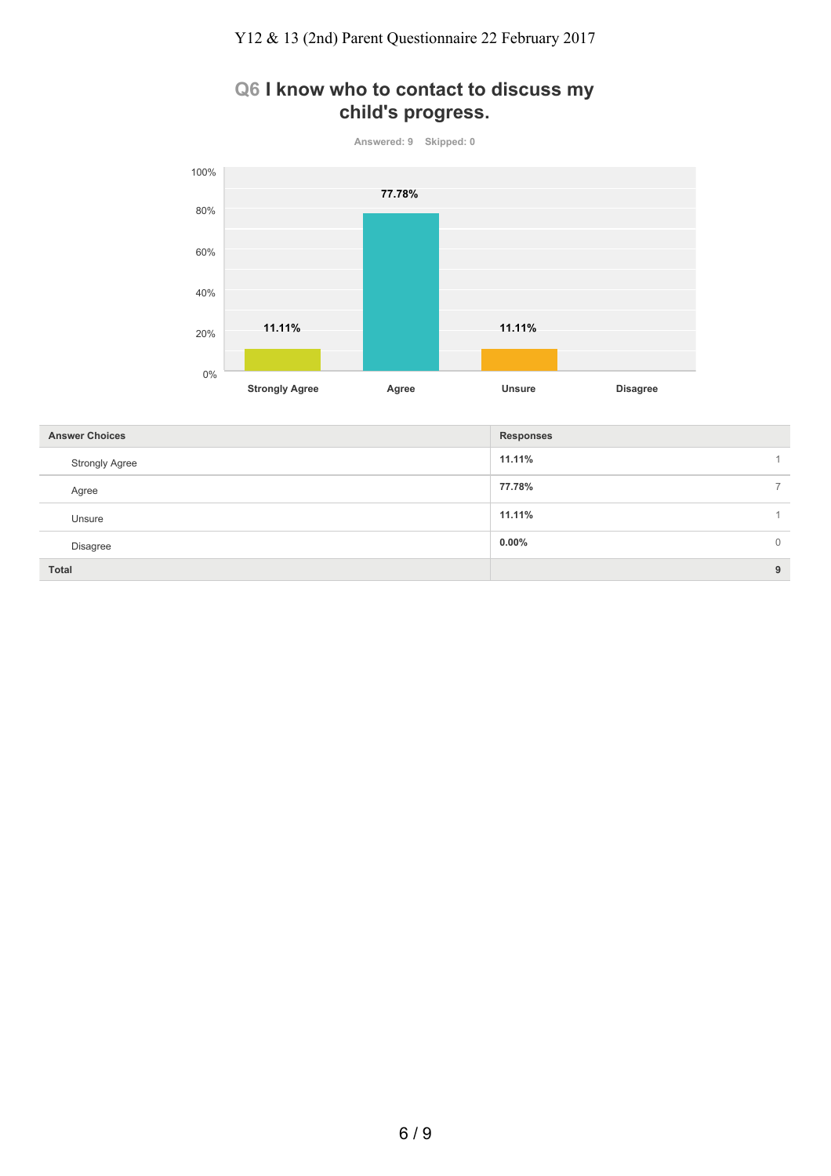### **Q6 I know who to contact to discuss my child's progress.**



| <b>Answer Choices</b> | <b>Responses</b> |              |
|-----------------------|------------------|--------------|
| <b>Strongly Agree</b> | 11.11%           |              |
| Agree                 | 77.78%           |              |
| Unsure                | 11.11%           |              |
| <b>Disagree</b>       | $0.00\%$         | $\mathbf{0}$ |
| Total                 |                  | 9            |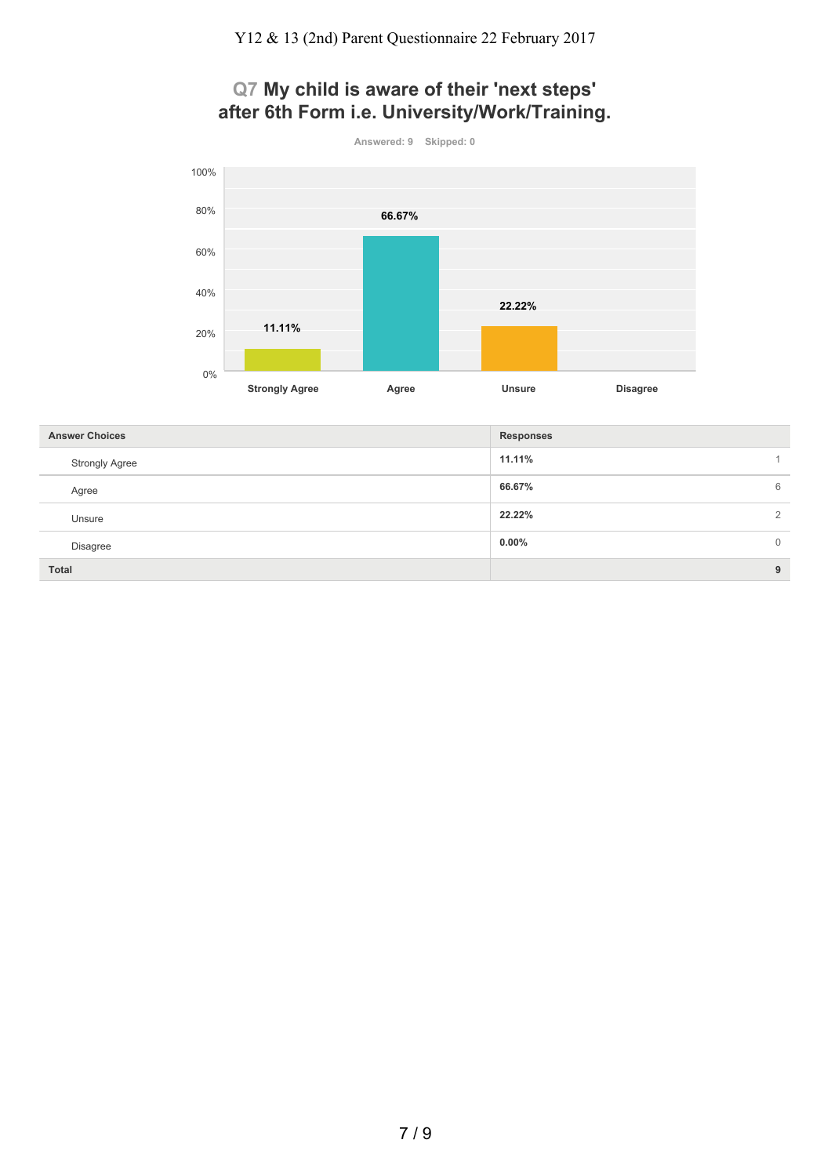# **Q7 My child is aware of their 'next steps' after 6th Form i.e. University/Work/Training.**



| <b>Answer Choices</b> | <b>Responses</b> |               |
|-----------------------|------------------|---------------|
| <b>Strongly Agree</b> | 11.11%           |               |
| Agree                 | 66.67%           | 6             |
| Unsure                | 22.22%           | $\mathcal{D}$ |
| Disagree              | $0.00\%$         | $\mathbf{0}$  |
| <b>Total</b>          |                  | 9             |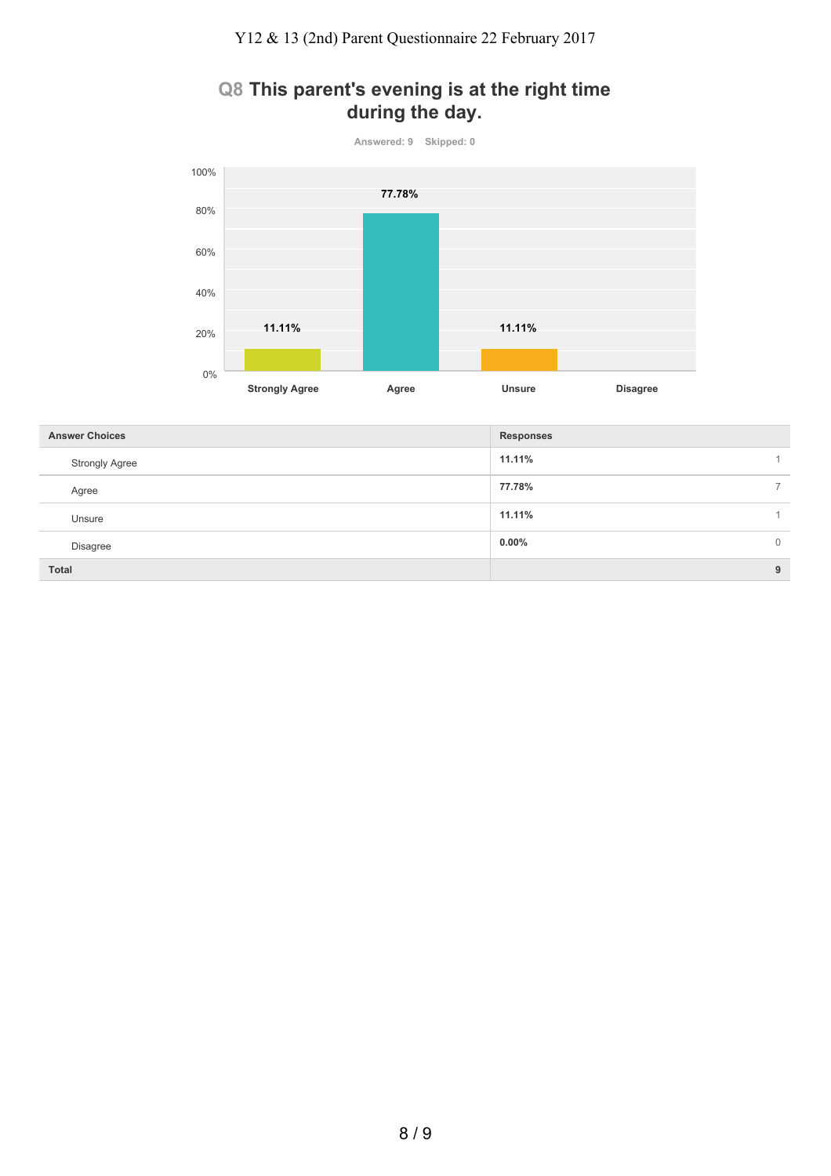### **Q8 This parent's evening is at the right time during the day.**



| <b>Answer Choices</b> | <b>Responses</b> |              |
|-----------------------|------------------|--------------|
| <b>Strongly Agree</b> | 11.11%           |              |
| Agree                 | 77.78%           |              |
| Unsure                | 11.11%           |              |
| Disagree              | $0.00\%$         | $\mathbf{0}$ |
| <b>Total</b>          |                  | 9            |